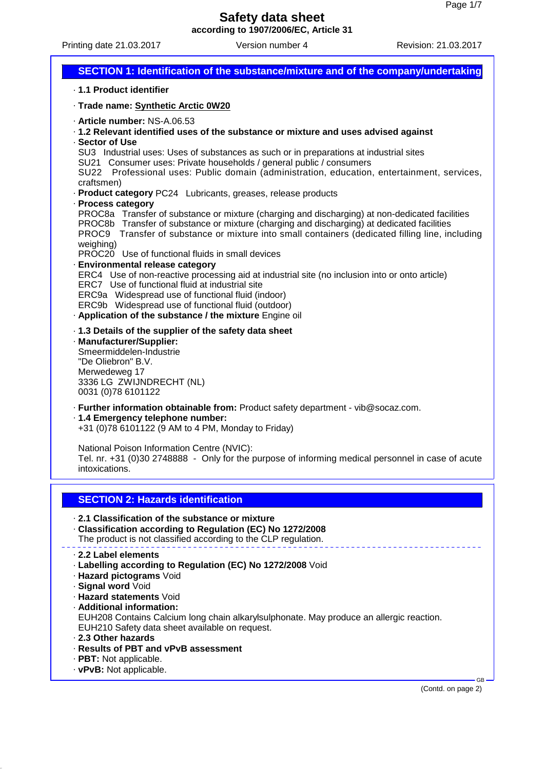Printing date 21.03.2017 Version number 4 Revision: 21.03.2017

**SECTION 1: Identification of the substance/mixture and of the company/undertaking** · **1.1 Product identifier** · **Trade name: Synthetic Arctic 0W20** · **Article number:** NS-A.06.53 · **1.2 Relevant identified uses of the substance or mixture and uses advised against** · **Sector of Use** SU3 Industrial uses: Uses of substances as such or in preparations at industrial sites SU21 Consumer uses: Private households / general public / consumers SU22 Professional uses: Public domain (administration, education, entertainment, services, craftsmen) · **Product category** PC24 Lubricants, greases, release products · **Process category** PROC8a Transfer of substance or mixture (charging and discharging) at non-dedicated facilities PROC8b Transfer of substance or mixture (charging and discharging) at dedicated facilities PROC9 Transfer of substance or mixture into small containers (dedicated filling line, including weighing) PROC20 Use of functional fluids in small devices · **Environmental release category** ERC4 Use of non-reactive processing aid at industrial site (no inclusion into or onto article) ERC7 Use of functional fluid at industrial site ERC9a Widespread use of functional fluid (indoor) ERC9b Widespread use of functional fluid (outdoor) · **Application of the substance / the mixture** Engine oil · **1.3 Details of the supplier of the safety data sheet** · **Manufacturer/Supplier:** Smeermiddelen-Industrie "De Oliebron" B.V. Merwedeweg 17 3336 LG ZWIJNDRECHT (NL) 0031 (0)78 6101122 · **Further information obtainable from:** Product safety department - vib@socaz.com. · **1.4 Emergency telephone number:** +31 (0)78 6101122 (9 AM to 4 PM, Monday to Friday) National Poison Information Centre (NVIC): Tel. nr. +31 (0)30 2748888 - Only for the purpose of informing medical personnel in case of acute intoxications. **SECTION 2: Hazards identification** · **2.1 Classification of the substance or mixture** · **Classification according to Regulation (EC) No 1272/2008** The product is not classified according to the CLP regulation. · **2.2 Label elements** · **Labelling according to Regulation (EC) No 1272/2008** Void · **Hazard pictograms** Void · **Signal word** Void · **Hazard statements** Void · **Additional information:** EUH208 Contains Calcium long chain alkarylsulphonate. May produce an allergic reaction. EUH210 Safety data sheet available on request. · **2.3 Other hazards** · **Results of PBT and vPvB assessment** · **PBT:** Not applicable. · **vPvB:** Not applicable. GB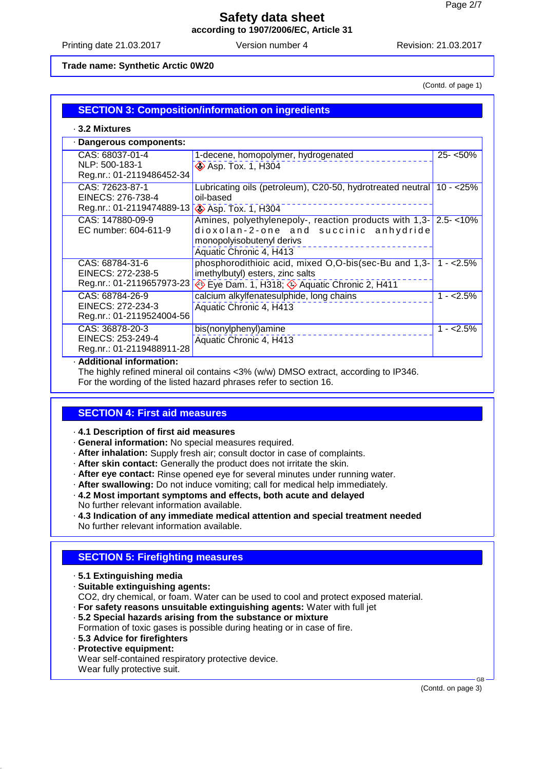Printing date 21.03.2017 Version number 4 Revision: 21.03.2017

### **Trade name: Synthetic Arctic 0W20**

(Contd. of page 1)

# **SECTION 3: Composition/information on ingredients**

### · **3.2 Mixtures**

| · Dangerous components:                                           |                                                                                                                                                                  |             |  |  |
|-------------------------------------------------------------------|------------------------------------------------------------------------------------------------------------------------------------------------------------------|-------------|--|--|
| CAS: 68037-01-4<br>NLP: 500-183-1<br>Reg.nr.: 01-2119486452-34    | 1-decene, homopolymer, hydrogenated<br><b>Asp. Tox. 1, H304</b>                                                                                                  | $25 - 50\%$ |  |  |
| CAS: 72623-87-1<br>EINECS: 276-738-4<br>Reg.nr.: 01-2119474889-13 | Lubricating oils (petroleum), C20-50, hydrotreated neutral   10 - < 25%<br>oil-based<br><b>◆ Asp. Tox. 1, H304</b>                                               |             |  |  |
| CAS: 147880-09-9<br>EC number: 604-611-9                          | Amines, polyethylenepoly-, reaction products with 1,3- 2.5-<10%<br>dioxolan-2-one and succinic anhydride<br>monopolyisobutenyl derivs<br>Aquatic Chronic 4, H413 |             |  |  |
| CAS: 68784-31-6<br>EINECS: 272-238-5<br>Reg.nr.: 01-2119657973-23 | phosphorodithioic acid, mixed O,O-bis(sec-Bu and 1,3-<br>imethylbutyl) esters, zinc salts<br>Eye Dam. 1, H318; Aquatic Chronic 2, H411                           | $1 - 2.5\%$ |  |  |
| CAS: 68784-26-9<br>EINECS: 272-234-3<br>Reg.nr.: 01-2119524004-56 | calcium alkylfenatesulphide, long chains<br>Aquatic Chronic 4, H413                                                                                              | $1 - 2.5%$  |  |  |
| CAS: 36878-20-3<br>EINECS: 253-249-4<br>Reg.nr.: 01-2119488911-28 | bis(nonylphenyl)amine<br>Aquatic Chronic 4, H413                                                                                                                 | $1 - 2.5%$  |  |  |

#### · **Additional information:**

The highly refined mineral oil contains <3% (w/w) DMSO extract, according to IP346. For the wording of the listed hazard phrases refer to section 16.

# **SECTION 4: First aid measures**

- · **4.1 Description of first aid measures**
- · **General information:** No special measures required.
- · **After inhalation:** Supply fresh air; consult doctor in case of complaints.
- · **After skin contact:** Generally the product does not irritate the skin.
- · **After eye contact:** Rinse opened eye for several minutes under running water.
- · **After swallowing:** Do not induce vomiting; call for medical help immediately.
- · **4.2 Most important symptoms and effects, both acute and delayed**
- No further relevant information available.
- · **4.3 Indication of any immediate medical attention and special treatment needed** No further relevant information available.

# **SECTION 5: Firefighting measures**

- · **5.1 Extinguishing media**
- · **Suitable extinguishing agents:**

CO2, dry chemical, or foam. Water can be used to cool and protect exposed material.

- · **For safety reasons unsuitable extinguishing agents:** Water with full jet
- · **5.2 Special hazards arising from the substance or mixture**

Formation of toxic gases is possible during heating or in case of fire.

- · **5.3 Advice for firefighters**
- · **Protective equipment:**

Wear self-contained respiratory protective device. Wear fully protective suit.

(Contd. on page 3)

GB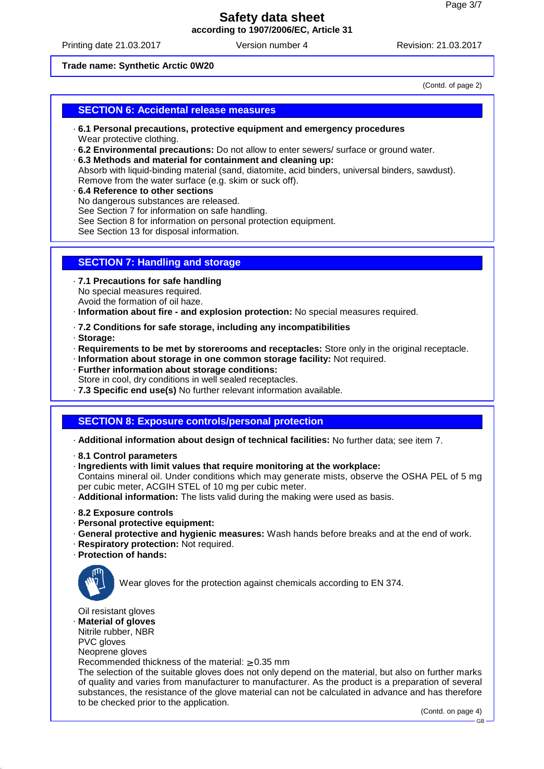Printing date 21.03.2017 Version number 4 Revision: 21.03.2017

### **Trade name: Synthetic Arctic 0W20**

(Contd. of page 2)

## **SECTION 6: Accidental release measures**

- · **6.1 Personal precautions, protective equipment and emergency procedures** Wear protective clothing.
- · **6.2 Environmental precautions:** Do not allow to enter sewers/ surface or ground water.
- · **6.3 Methods and material for containment and cleaning up:**
- Absorb with liquid-binding material (sand, diatomite, acid binders, universal binders, sawdust). Remove from the water surface (e.g. skim or suck off).
- · **6.4 Reference to other sections** No dangerous substances are released. See Section 7 for information on safe handling. See Section 8 for information on personal protection equipment. See Section 13 for disposal information.

## **SECTION 7: Handling and storage**

· **7.1 Precautions for safe handling** No special measures required. Avoid the formation of oil haze.

· **Information about fire - and explosion protection:** No special measures required.

- · **7.2 Conditions for safe storage, including any incompatibilities**
- · **Storage:**
- · **Requirements to be met by storerooms and receptacles:** Store only in the original receptacle.
- · **Information about storage in one common storage facility:** Not required.
- · **Further information about storage conditions:** Store in cool, dry conditions in well sealed receptacles.
- · **7.3 Specific end use(s)** No further relevant information available.

## **SECTION 8: Exposure controls/personal protection**

· **Additional information about design of technical facilities:** No further data; see item 7.

- · **8.1 Control parameters**
- · **Ingredients with limit values that require monitoring at the workplace:**

Contains mineral oil. Under conditions which may generate mists, observe the OSHA PEL of 5 mg per cubic meter, ACGIH STEL of 10 mg per cubic meter.

- · **Additional information:** The lists valid during the making were used as basis.
- · **8.2 Exposure controls**
- · **Personal protective equipment:**
- · **General protective and hygienic measures:** Wash hands before breaks and at the end of work.
- · **Respiratory protection:** Not required.
- · **Protection of hands:**



Wear gloves for the protection against chemicals according to EN 374.

Oil resistant gloves

· **Material of gloves**

Nitrile rubber, NBR

PVC gloves

Neoprene gloves

Recommended thickness of the material: ≥ 0.35 mm

The selection of the suitable gloves does not only depend on the material, but also on further marks of quality and varies from manufacturer to manufacturer. As the product is a preparation of several substances, the resistance of the glove material can not be calculated in advance and has therefore to be checked prior to the application.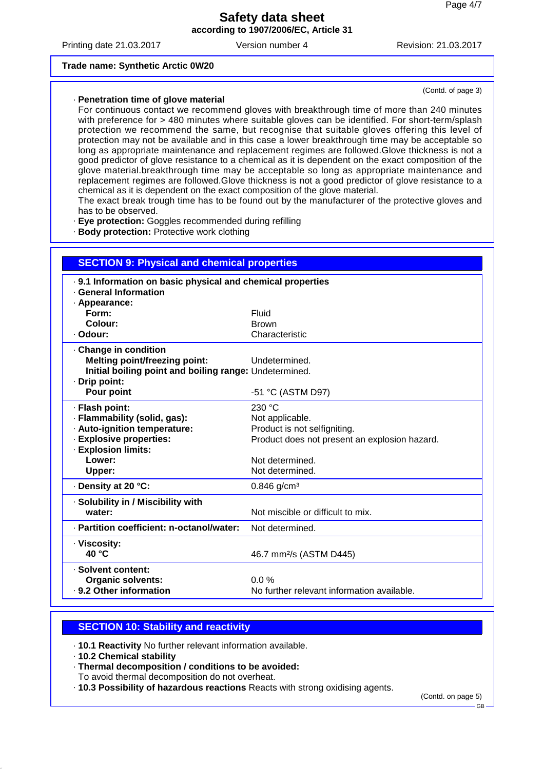Printing date 21.03.2017 Version number 4 Revision: 21.03.2017

(Contd. of page 3)

#### **Trade name: Synthetic Arctic 0W20**

#### · **Penetration time of glove material**

For continuous contact we recommend gloves with breakthrough time of more than 240 minutes with preference for > 480 minutes where suitable gloves can be identified. For short-term/splash protection we recommend the same, but recognise that suitable gloves offering this level of protection may not be available and in this case a lower breakthrough time may be acceptable so long as appropriate maintenance and replacement regimes are followed.Glove thickness is not a good predictor of glove resistance to a chemical as it is dependent on the exact composition of the glove material.breakthrough time may be acceptable so long as appropriate maintenance and replacement regimes are followed.Glove thickness is not a good predictor of glove resistance to a chemical as it is dependent on the exact composition of the glove material.

The exact break trough time has to be found out by the manufacturer of the protective gloves and has to be observed.

- · **Eye protection:** Goggles recommended during refilling
- · **Body protection:** Protective work clothing

| <b>SECTION 9: Physical and chemical properties</b>          |                                               |  |  |  |
|-------------------------------------------------------------|-----------------------------------------------|--|--|--|
| . 9.1 Information on basic physical and chemical properties |                                               |  |  |  |
| <b>General Information</b>                                  |                                               |  |  |  |
| · Appearance:                                               |                                               |  |  |  |
| Form:                                                       | Fluid                                         |  |  |  |
| Colour:<br>· Odour:                                         | <b>Brown</b><br>Characteristic                |  |  |  |
|                                                             |                                               |  |  |  |
| Change in condition                                         |                                               |  |  |  |
| <b>Melting point/freezing point:</b>                        | Undetermined.                                 |  |  |  |
| Initial boiling point and boiling range: Undetermined.      |                                               |  |  |  |
| · Drip point:<br>Pour point                                 | -51 °C (ASTM D97)                             |  |  |  |
| · Flash point:                                              | 230 °C                                        |  |  |  |
| · Flammability (solid, gas):                                | Not applicable.                               |  |  |  |
| · Auto-ignition temperature:                                | Product is not selfigniting.                  |  |  |  |
| · Explosive properties:                                     | Product does not present an explosion hazard. |  |  |  |
| · Explosion limits:                                         |                                               |  |  |  |
| Lower:                                                      | Not determined.                               |  |  |  |
| Upper:                                                      | Not determined.                               |  |  |  |
| · Density at 20 °C:                                         | $0.846$ g/cm <sup>3</sup>                     |  |  |  |
| · Solubility in / Miscibility with                          |                                               |  |  |  |
| water:                                                      | Not miscible or difficult to mix.             |  |  |  |
| · Partition coefficient: n-octanol/water:                   | Not determined.                               |  |  |  |
| · Viscosity:                                                |                                               |  |  |  |
| 40 °C                                                       | 46.7 mm <sup>2</sup> /s (ASTM D445)           |  |  |  |
| · Solvent content:                                          |                                               |  |  |  |
| <b>Organic solvents:</b>                                    | 0.0%                                          |  |  |  |
| . 9.2 Other information                                     | No further relevant information available.    |  |  |  |

## **SECTION 10: Stability and reactivity**

· **10.1 Reactivity** No further relevant information available.

· **10.2 Chemical stability**

· **Thermal decomposition / conditions to be avoided:**

To avoid thermal decomposition do not overheat.

· **10.3 Possibility of hazardous reactions** Reacts with strong oxidising agents.

(Contd. on page 5)

GB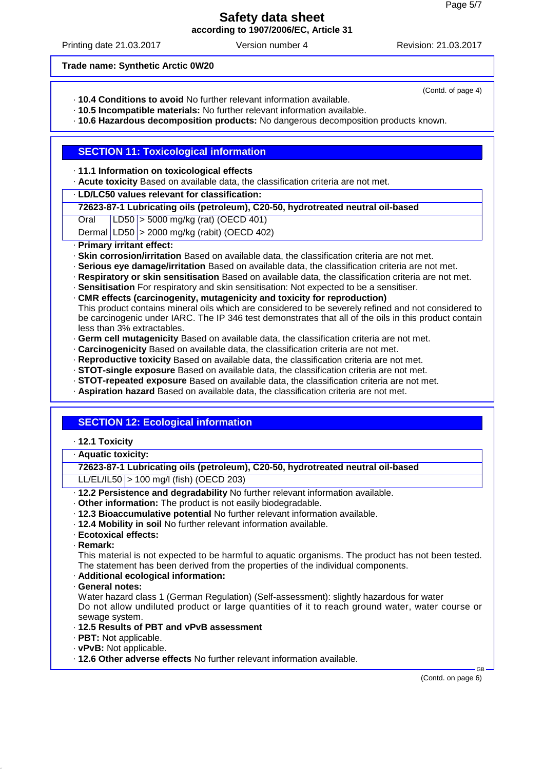Printing date 21.03.2017 Version number 4 Revision: 21.03.2017

(Contd. of page 4)

#### **Trade name: Synthetic Arctic 0W20**

- · **10.4 Conditions to avoid** No further relevant information available.
- · **10.5 Incompatible materials:** No further relevant information available.
- · **10.6 Hazardous decomposition products:** No dangerous decomposition products known.

## **SECTION 11: Toxicological information**

### · **11.1 Information on toxicological effects**

· **Acute toxicity** Based on available data, the classification criteria are not met.

## · **LD/LC50 values relevant for classification:**

## **72623-87-1 Lubricating oils (petroleum), C20-50, hydrotreated neutral oil-based**

- Oral LD50 > 5000 mg/kg (rat) (OECD 401)
- Dermal  $|LD50|$  > 2000 mg/kg (rabit) (OECD 402)

### · **Primary irritant effect:**

- **Skin corrosion/irritation** Based on available data, the classification criteria are not met.
- · **Serious eye damage/irritation** Based on available data, the classification criteria are not met.
- · **Respiratory or skin sensitisation** Based on available data, the classification criteria are not met.
- · **Sensitisation** For respiratory and skin sensitisation: Not expected to be a sensitiser.
- · **CMR effects (carcinogenity, mutagenicity and toxicity for reproduction)**
- This product contains mineral oils which are considered to be severely refined and not considered to be carcinogenic under IARC. The IP 346 test demonstrates that all of the oils in this product contain less than 3% extractables.
- · **Germ cell mutagenicity** Based on available data, the classification criteria are not met.
- · **Carcinogenicity** Based on available data, the classification criteria are not met.
- · **Reproductive toxicity** Based on available data, the classification criteria are not met.
- · **STOT-single exposure** Based on available data, the classification criteria are not met.
- · **STOT-repeated exposure** Based on available data, the classification criteria are not met.
- · **Aspiration hazard** Based on available data, the classification criteria are not met.

# **SECTION 12: Ecological information**

· **12.1 Toxicity**

# · **Aquatic toxicity:**

**72623-87-1 Lubricating oils (petroleum), C20-50, hydrotreated neutral oil-based** LL/EL/IL50 > 100 mg/l (fish) (OECD 203)

- · **12.2 Persistence and degradability** No further relevant information available.
- · **Other information:** The product is not easily biodegradable.
- · **12.3 Bioaccumulative potential** No further relevant information available.
- · **12.4 Mobility in soil** No further relevant information available.
- · **Ecotoxical effects:**
- · **Remark:**

This material is not expected to be harmful to aquatic organisms. The product has not been tested. The statement has been derived from the properties of the individual components.

## · **Additional ecological information:**

· **General notes:**

Water hazard class 1 (German Regulation) (Self-assessment): slightly hazardous for water Do not allow undiluted product or large quantities of it to reach ground water, water course or sewage system.

- · **12.5 Results of PBT and vPvB assessment**
- · **PBT:** Not applicable.
- · **vPvB:** Not applicable.
- · **12.6 Other adverse effects** No further relevant information available.

(Contd. on page 6)

GB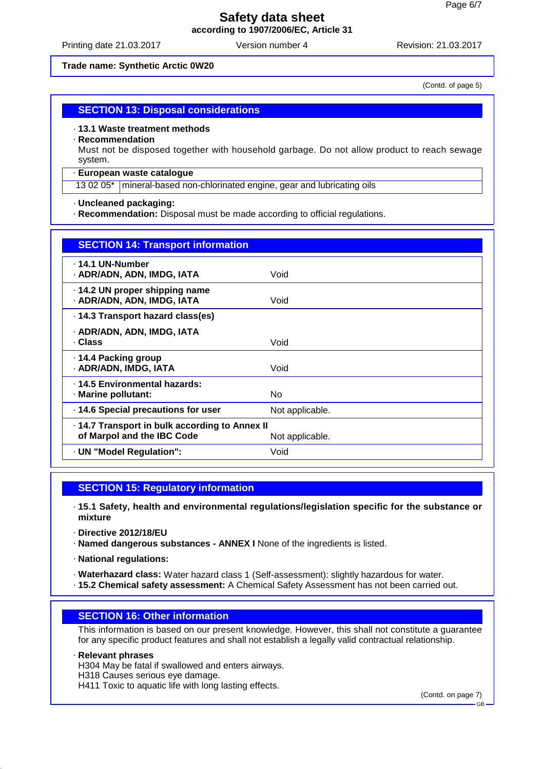Printing date 21.03.2017 Version number 4 Revision: 21.03.2017

#### **Trade name: Synthetic Arctic 0W20**

(Contd. of page 5)

### **SECTION 13: Disposal considerations**

#### · **13.1 Waste treatment methods**

· **Recommendation**

Must not be disposed together with household garbage. Do not allow product to reach sewage system.

#### · **European waste catalogue**

13 02 05<sup>\*</sup> mineral-based non-chlorinated engine, gear and lubricating oils

#### · **Uncleaned packaging:**

· **Recommendation:** Disposal must be made according to official regulations.

| <b>SECTION 14: Transport information</b>                                   |                 |
|----------------------------------------------------------------------------|-----------------|
| ⋅ 14.1 UN-Number<br>· ADR/ADN, ADN, IMDG, IATA                             | Void            |
| 14.2 UN proper shipping name<br>· ADR/ADN, ADN, IMDG, IATA                 | Void            |
| 14.3 Transport hazard class(es)                                            |                 |
| · ADR/ADN, ADN, IMDG, IATA<br>· Class                                      | Void            |
| ⋅ 14.4 Packing group<br>· ADR/ADN, IMDG, IATA                              | Void            |
| . 14.5 Environmental hazards:<br>· Marine pollutant:                       | No.             |
| 14.6 Special precautions for user                                          | Not applicable. |
| 14.7 Transport in bulk according to Annex II<br>of Marpol and the IBC Code | Not applicable. |
| · UN "Model Regulation":                                                   | Void            |

# **SECTION 15: Regulatory information**

· **15.1 Safety, health and environmental regulations/legislation specific for the substance or mixture**

- · **Directive 2012/18/EU**
- · **Named dangerous substances ANNEX I** None of the ingredients is listed.
- · **National regulations:**
- · **Waterhazard class:** Water hazard class 1 (Self-assessment): slightly hazardous for water.
- · **15.2 Chemical safety assessment:** A Chemical Safety Assessment has not been carried out.

#### **SECTION 16: Other information**

This information is based on our present knowledge. However, this shall not constitute a guarantee for any specific product features and shall not establish a legally valid contractual relationship.

· **Relevant phrases**

H304 May be fatal if swallowed and enters airways.

H318 Causes serious eye damage.

H411 Toxic to aquatic life with long lasting effects.

(Contd. on page 7)

GB